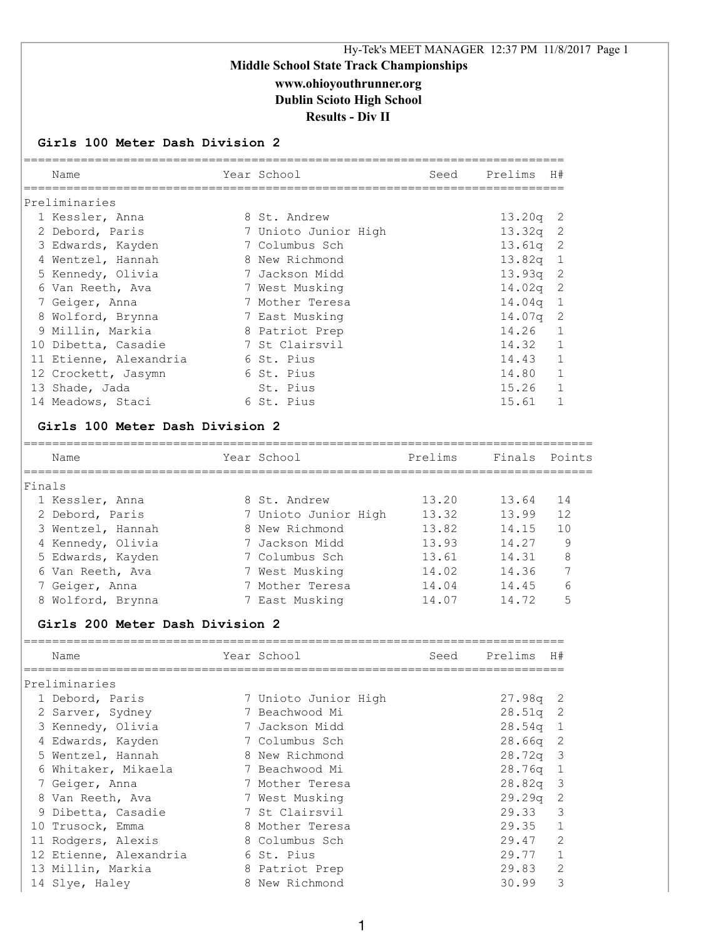# Hy-Tek's MEET MANAGER 12:37 PM 11/8/2017 Page 1 **Middle School State Track Championships www.ohioyouthrunner.org Dublin Scioto High School Results - Div II**

#### **Girls 100 Meter Dash Division 2**

|        | Name                                    | Year School          | Seed    | Prelims H#    |                          |
|--------|-----------------------------------------|----------------------|---------|---------------|--------------------------|
|        | Preliminaries                           |                      |         |               |                          |
|        | 1 Kessler, Anna                         | 8 St. Andrew         |         | 13.20q        | 2                        |
|        | 2 Debord, Paris                         | 7 Unioto Junior High |         | 13.32q        | $\overline{c}$           |
|        | 3 Edwards, Kayden                       | 7 Columbus Sch       |         | 13.61q        | $\overline{c}$           |
|        | 4 Wentzel, Hannah                       | 8 New Richmond       |         | 13.82q        | $\mathbf{1}$             |
|        | 5 Kennedy, Olivia                       | 7 Jackson Midd       |         | 13.93q        | - 2                      |
|        | 6 Van Reeth, Ava                        | 7 West Musking       |         | 14.02q        | $\overline{\phantom{a}}$ |
|        | 7 Geiger, Anna                          | 7 Mother Teresa      |         | 14.04q        | $\mathbf{1}$             |
|        | 8 Wolford, Brynna                       | 7 East Musking       |         | 14.07q        | 2                        |
|        | 9 Millin, Markia                        | 8 Patriot Prep       |         | 14.26         | 1                        |
|        | 10 Dibetta, Casadie                     | 7 St Clairsvil       |         | 14.32         | 1                        |
|        | 11 Etienne, Alexandria                  | 6 St. Pius           |         | 14.43         | $\mathbf{1}$             |
|        | 12 Crockett, Jasymn                     | 6 St. Pius           |         | 14.80         | 1                        |
|        |                                         | St. Pius             |         |               |                          |
|        | 13 Shade, Jada                          |                      |         | 15.26         | 1                        |
|        | 14 Meadows, Staci                       | 6 St. Pius           |         | 15.61         | $\mathbf{1}$             |
|        | Girls 100 Meter Dash Division 2<br>Name | Year School          |         | Finals Points |                          |
|        |                                         |                      | Prelims |               |                          |
|        |                                         |                      |         |               |                          |
|        | 1 Kessler, Anna                         | 8 St. Andrew         | 13.20   | 13.64         | 14                       |
| Finals | 2 Debord, Paris                         | 7 Unioto Junior High | 13.32   | 13.99         | 12                       |
|        | 3 Wentzel, Hannah                       | 8 New Richmond       | 13.82   | 14.15         | 10                       |
|        | 4 Kennedy, Olivia                       | 7 Jackson Midd       | 13.93   | 14.27         | 9                        |
|        | 5 Edwards, Kayden                       | 7 Columbus Sch       | 13.61   | 14.31         | 8                        |
|        | 6 Van Reeth, Ava                        | 7 West Musking       | 14.02   | 14.36         | 7                        |
|        | 7 Geiger, Anna                          | 7 Mother Teresa      | 14.04   | 14.45         | 6                        |

#### **Girls 200 Meter Dash Division 2**

| Name                   | Year School          | Seed | Prelims    | H#           |
|------------------------|----------------------|------|------------|--------------|
| Preliminaries          |                      |      |            |              |
| 1 Debord, Paris        | 7 Unioto Junior High |      | $27.98q$ 2 |              |
| 2 Sarver, Sydney       | 7 Beachwood Mi       |      | $28.51q$ 2 |              |
| 3 Kennedy, Olivia      | 7 Jackson Midd       |      | $28.54q$ 1 |              |
| 4 Edwards, Kayden      | 7 Columbus Sch       |      | $28.66q$ 2 |              |
| 5 Wentzel, Hannah      | 8 New Richmond       |      | $28.72q$ 3 |              |
| 6 Whitaker, Mikaela    | 7 Beachwood Mi       |      | $28.76q$ 1 |              |
| 7 Geiger, Anna         | 7 Mother Teresa      |      | $28.82q$ 3 |              |
| 8 Van Reeth, Ava       | 7 West Musking       |      | $29.29q$ 2 |              |
| 9 Dibetta, Casadie     | 7 St Clairsvil       |      | 29.33 3    |              |
| 10 Trusock, Emma       | 8 Mother Teresa      |      | $29.35$ 1  |              |
| 11 Rodgers, Alexis     | 8 Columbus Sch       |      | 29.47      | 2            |
| 12 Etienne, Alexandria | 6 St. Pius           |      | 29.77      | $\mathbf{1}$ |
| 13 Millin, Markia      | 8 Patriot Prep       |      | 29.83      | 2            |
| 14 Slye, Haley         | 8 New Richmond       |      | 30.99      | 3            |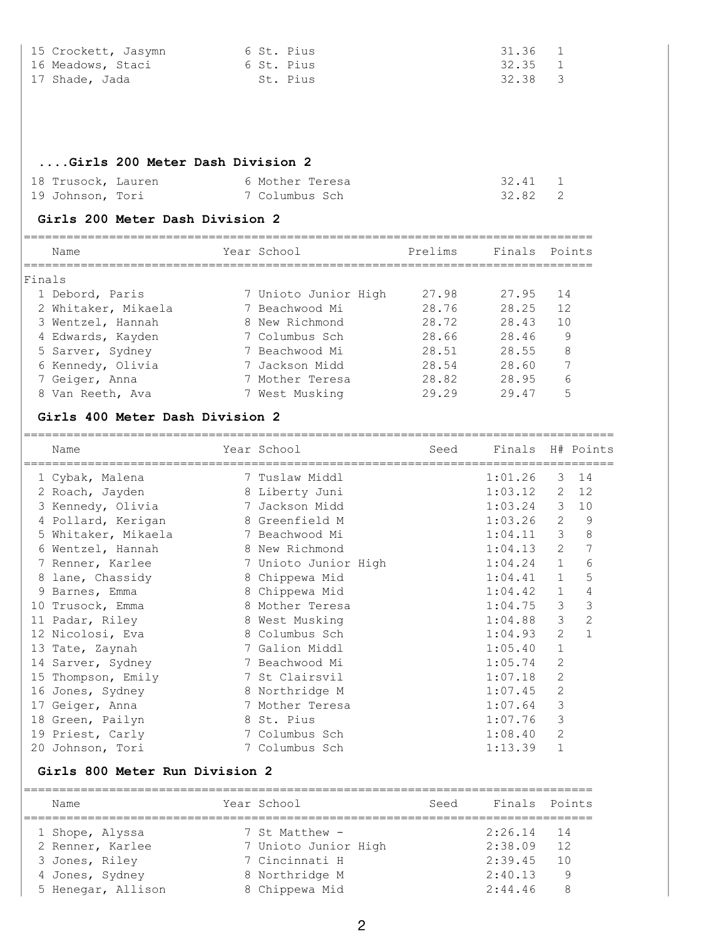| 15 Crockett, Jasymn<br>16 Meadows, Staci<br>17 Shade, Jada | 6 St. Pius<br>6 St. Pius<br>St. Pius |         | 31.36<br>32.35<br>32.38 | 1<br>1<br>3         |
|------------------------------------------------------------|--------------------------------------|---------|-------------------------|---------------------|
| Girls 200 Meter Dash Division 2                            |                                      |         |                         |                     |
| 18 Trusock, Lauren                                         | 6 Mother Teresa                      |         | 32.41 1                 |                     |
| 19 Johnson, Tori                                           | 7 Columbus Sch                       |         | 32.82                   | 2                   |
| Girls 200 Meter Dash Division 2                            |                                      |         |                         |                     |
| Name                                                       | Year School                          | Prelims | Finals Points           |                     |
| Finals                                                     |                                      |         |                         |                     |
| 1 Debord, Paris                                            | 7 Unioto Junior High                 | 27.98   | 27.95                   | 14                  |
| 2 Whitaker, Mikaela                                        | 7 Beachwood Mi                       | 28.76   | 28.25                   | 12                  |
| 3 Wentzel, Hannah                                          | 8 New Richmond                       | 28.72   | 28.43                   | 10                  |
| 4 Edwards, Kayden                                          | 7 Columbus Sch                       | 28.66   | 28.46                   | $\overline{9}$      |
| 5 Sarver, Sydney                                           | 7 Beachwood Mi                       | 28.51   | 28.55                   | 8 <sup>8</sup>      |
| 6 Kennedy, Olivia                                          | 7 Jackson Midd                       | 28.54   | 28.60                   | $7\phantom{.0}$     |
| 7 Geiger, Anna                                             | 7 Mother Teresa                      | 28.82   | 28.95                   | 6                   |
| 8 Van Reeth, Ava                                           | 7 West Musking                       | 29.29   | 29.47                   | 5                   |
| Girls 400 Meter Dash Division 2                            |                                      |         |                         |                     |
| Name                                                       | Year School                          | Seed    |                         | Finals H# Points    |
| 1 Cybak, Malena                                            | 7 Tuslaw Middl                       |         | 1:01.26                 | 14<br>3             |
| 2 Roach, Jayden                                            | 8 Liberty Juni                       |         | $1:03.12$ 2 12          |                     |
| 3 Kennedy, Olivia                                          | 7 Jackson Midd                       |         | $1:03.24$ 3 10          |                     |
| 4 Pollard, Kerigan                                         | 8 Greenfield M                       |         | $1:03.26$ 2 9           |                     |
| 5 Whitaker, Mikaela                                        | 7 Beachwood Mi                       |         | $1:04.11$ 3 8           |                     |
| 6 Wentzel, Hannah                                          | 8 New Richmond                       |         | 1:04.13                 | $2 \overline{7}$    |
| 7 Renner, Karlee                                           | 7 Unioto Junior High                 |         | 1:04.24                 | 6<br>$1 \quad \Box$ |
| 8 lane, Chassidy                                           | 8 Chippewa Mid                       |         | 1:04.41                 | 1<br>5              |
| 9 Barnes, Emma                                             | 8 Chippewa Mid                       |         | 1:04.42                 | 4<br>1              |
| 10 Trusock, Emma                                           | 8 Mother Teresa                      |         | 1:04.75                 | $\mathcal{S}$<br>3  |
| 11 Padar, Riley                                            | 8 West Musking                       |         | 1:04.88                 | $\mathbf{2}$<br>3   |
| 12 Nicolosi, Eva                                           | 8 Columbus Sch                       |         | 1:04.93                 | 2<br>1              |
| 13 Tate, Zaynah                                            | 7 Galion Middl                       |         | 1:05.40                 | 1                   |
| 14 Sarver, Sydney                                          | 7 Beachwood Mi                       |         | 1:05.74                 | 2                   |
| 15 Thompson, Emily                                         | 7 St Clairsvil                       |         | 1:07.18                 | 2                   |
| 16 Jones, Sydney                                           | 8 Northridge M                       |         | 1:07.45                 | 2                   |
| 17 Geiger, Anna                                            | 7 Mother Teresa                      |         | 1:07.64                 | 3                   |
| 18 Green, Pailyn                                           | 8 St. Pius                           |         | 1:07.76                 | 3                   |
| 19 Priest, Carly                                           | 7 Columbus Sch                       |         | 1:08.40                 | 2                   |
| 20 Johnson, Tori                                           | 7 Columbus Sch                       |         | 1:13.39                 | 1                   |
| Girls 800 Meter Run Division 2                             |                                      |         |                         |                     |
| Name                                                       | Year School                          | Seed    | Finals                  | Points              |
| 1 Shope, Alyssa                                            | 7 St Matthew -                       |         | 2:26.14                 | 14                  |
| 2 Renner, Karlee                                           | 7 Unioto Junior High                 |         | 2:38.09                 | 12                  |
| 3 Jones, Riley                                             | 7 Cincinnati H                       |         | 2:39.45                 | 10                  |
| 4 Jones, Sydney                                            | 8 Northridge M                       |         | 2:40.13                 | 9                   |
| 5 Henegar, Allison                                         | 8 Chippewa Mid                       |         | 2:44.46                 | 8                   |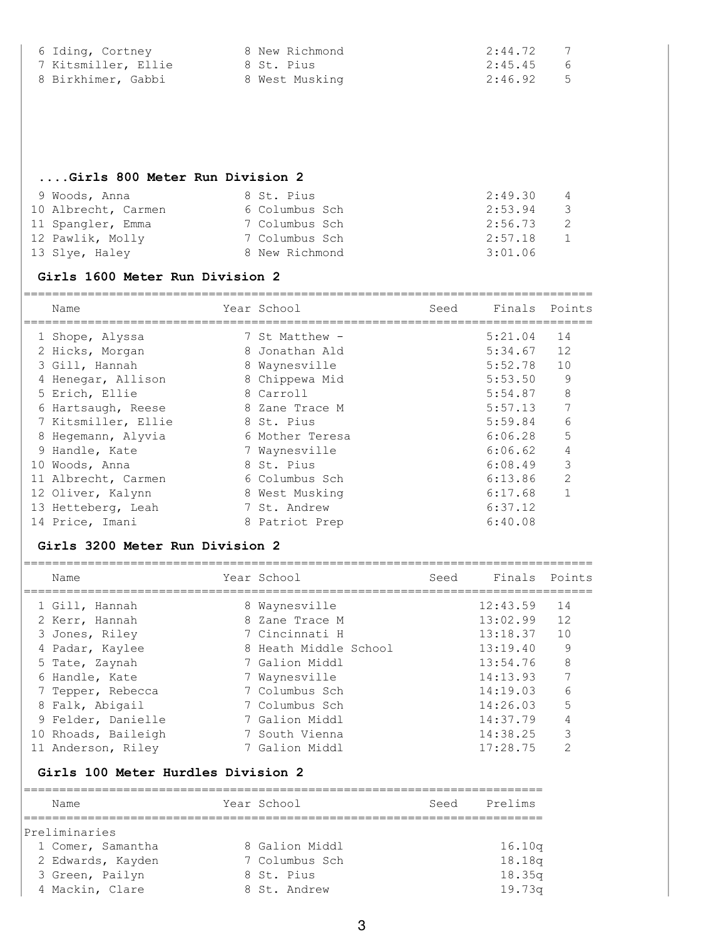| 6 Iding, Cortney    | 8 New Richmond | 2:44.72<br>7 |
|---------------------|----------------|--------------|
| 7 Kitsmiller, Ellie | 8 St. Pius     | 2:45.45 6    |
| 8 Birkhimer, Gabbi  | 8 West Musking | $2:46.92$ 5  |

### **....Girls 800 Meter Run Division 2**

| 9 Woods, Anna       | 8 St. Pius     | 2:49.30<br>$\sim$ 4 |
|---------------------|----------------|---------------------|
| 10 Albrecht, Carmen | 6 Columbus Sch | 2:53.94<br>- 3      |
| 11 Spangler, Emma   | 7 Columbus Sch | 2:56.73<br>- 2.     |
| 12 Pawlik, Molly    | 7 Columbus Sch | 2:57.18<br>1        |
| 13 Slye, Haley      | 8 New Richmond | 3:01.06             |

#### **Girls 1600 Meter Run Division 2**

| Name                | Year School     | Seed | Finals Points |               |
|---------------------|-----------------|------|---------------|---------------|
| 1 Shope, Alyssa     | 7 St Matthew -  |      | 5:21.04       | 14            |
| 2 Hicks, Morgan     | 8 Jonathan Ald  |      | 5:34.67       | 12            |
| 3 Gill, Hannah      | 8 Waynesville   |      | 5:52.78       | 10            |
| 4 Henegar, Allison  | 8 Chippewa Mid  |      | 5:53.50       | 9             |
| 5 Erich, Ellie      | 8 Carroll       |      | 5:54.87       | 8             |
| 6 Hartsaugh, Reese  | 8 Zane Trace M  |      | 5:57.13       | 7             |
| 7 Kitsmiller, Ellie | 8 St. Pius      |      | 5:59.84       | 6             |
| 8 Hegemann, Alyvia  | 6 Mother Teresa |      | 6:06.28       | 5             |
| 9 Handle, Kate      | 7 Waynesville   |      | 6:06.62       | 4             |
| 10 Woods, Anna      | 8 St. Pius      |      | 6:08.49       | 3             |
| 11 Albrecht, Carmen | 6 Columbus Sch  |      | 6:13.86       | $\mathcal{D}$ |
| 12 Oliver, Kalynn   | 8 West Musking  |      | 6:17.68       |               |
| 13 Hetteberg, Leah  | 7 St. Andrew    |      | 6:37.12       |               |
| 14 Price, Imani     | 8 Patriot Prep  |      | 6:40.08       |               |

#### **Girls 3200 Meter Run Division 2**

| Name                | Year School           | Seed | Finals   | Points        |
|---------------------|-----------------------|------|----------|---------------|
| 1 Gill, Hannah      | 8 Waynesville         |      | 12:43.59 | 14            |
| 2 Kerr, Hannah      | 8 Zane Trace M        |      | 13:02.99 | 12            |
| 3 Jones, Riley      | 7 Cincinnati H        |      | 13:18.37 | 10            |
| 4 Padar, Kaylee     | 8 Heath Middle School |      | 13:19.40 | 9             |
| 5 Tate, Zaynah      | 7 Galion Middl        |      | 13:54.76 | 8             |
| 6 Handle, Kate      | 7 Waynesville         |      | 14:13.93 | 7             |
| 7 Tepper, Rebecca   | 7 Columbus Sch        |      | 14:19.03 | 6             |
| 8 Falk, Abigail     | 7 Columbus Sch        |      | 14:26.03 | 5             |
| 9 Felder, Danielle  | 7 Galion Middl        |      | 14:37.79 | 4             |
| 10 Rhoads, Baileigh | 7 South Vienna        |      | 14:38.25 | 3             |
| 11 Anderson, Riley  | 7 Galion Middl        |      | 17:28.75 | $\mathcal{D}$ |

### **Girls 100 Meter Hurdles Division 2**

| Name              | Year School    | Prelims<br>Seed |
|-------------------|----------------|-----------------|
| Preliminaries     |                |                 |
| 1 Comer, Samantha | 8 Galion Middl | 16.10q          |
| 2 Edwards, Kayden | 7 Columbus Sch | 18.18q          |
| 3 Green, Pailyn   | 8 St. Pius     | 18.35q          |
| 4 Mackin, Clare   | 8 St. Andrew   | 19.73q          |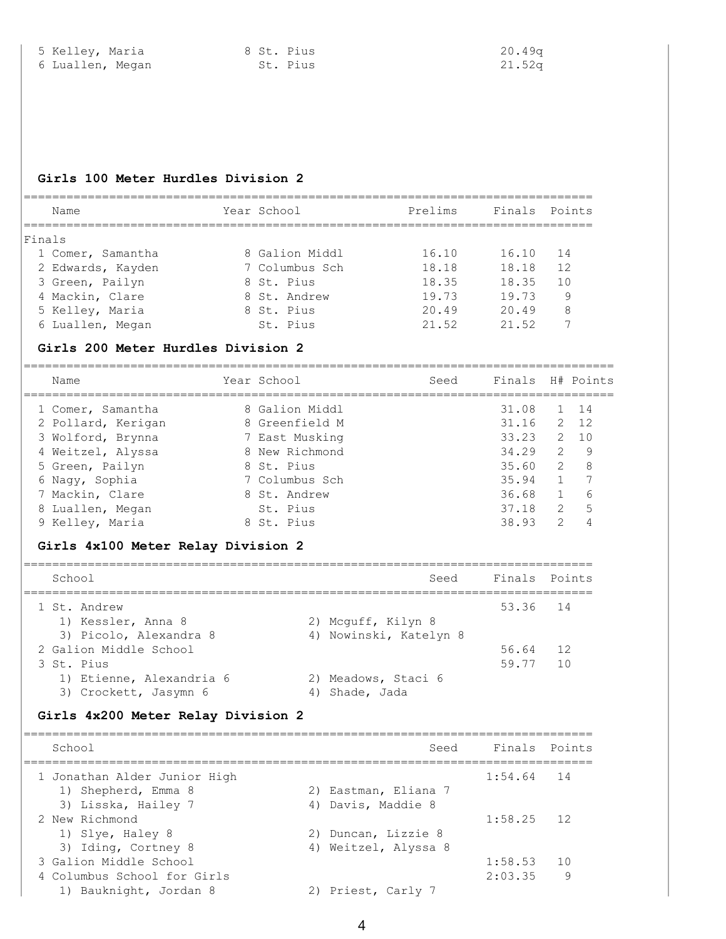#### **Girls 100 Meter Hurdles Division 2**

| Name              | Year School    | Prelims | Finals Points |                |
|-------------------|----------------|---------|---------------|----------------|
| Finals            |                |         |               |                |
| 1 Comer, Samantha | 8 Galion Middl | 16.10   | 16.10         | 14             |
| 2 Edwards, Kayden | 7 Columbus Sch | 18.18   | 18.18         | 12             |
| 3 Green, Pailyn   | 8 St. Pius     | 18.35   | 18.35         | 1 <sub>0</sub> |
| 4 Mackin, Clare   | 8 St. Andrew   | 19.73   | 19.73         | 9              |
| 5 Kelley, Maria   | 8 St. Pius     | 20.49   | 20.49         | 8              |
| 6 Luallen, Megan  | St. Pius       | 21.52   | 21.52         |                |

#### **Girls 200 Meter Hurdles Division 2**

| Name                                                         | Year School                                        | Seed | Finals H# Points        |                                |                  |
|--------------------------------------------------------------|----------------------------------------------------|------|-------------------------|--------------------------------|------------------|
| 1 Comer, Samantha<br>2 Pollard, Kerigan<br>3 Wolford, Brynna | 8 Galion Middl<br>8 Greenfield M<br>7 East Musking |      | 31.08<br>31.16<br>33.23 | 2<br>$2^{\circ}$               | 1 14<br>12<br>10 |
| 4 Weitzel, Alyssa                                            | 8 New Richmond                                     |      | 34.29                   | $\mathcal{L}$                  | 9                |
| 5 Green, Pailyn<br>6 Nagy, Sophia                            | 8 St. Pius<br>7 Columbus Sch                       |      | 35.60<br>35.94          | $\mathcal{L}$<br>$\mathbf{1}$  | 8                |
| 7 Mackin, Clare                                              | 8 St. Andrew                                       |      | 36.68                   | $\mathbf{1}$                   | 6                |
| 8 Luallen, Megan<br>9 Kelley, Maria                          | St. Pius<br>8 St. Pius                             |      | 37.18<br>38.93          | $\mathcal{L}$<br>$\mathcal{L}$ | 5                |
|                                                              |                                                    |      |                         |                                |                  |

#### **Girls 4x100 Meter Relay Division 2**

| School                                            |                                          | Seed Finals Points |                 |
|---------------------------------------------------|------------------------------------------|--------------------|-----------------|
| 1 St. Andrew<br>1) Kessler, Anna 8                | 2) Mcguff, Kilyn 8                       | 53.36 14           |                 |
| 3) Picolo, Alexandra 8                            | 4) Nowinski, Katelyn 8                   |                    |                 |
| 2 Galion Middle School                            |                                          | 56.64              | 12              |
| 3 St. Pius                                        |                                          | 59.77              | $\overline{10}$ |
| 1) Etienne, Alexandria 6<br>3) Crockett, Jasymn 6 | 2) Meadows, Staci 6<br>Shade, Jada<br>4) |                    |                 |

#### **Girls 4x200 Meter Relay Division 2**

| School                       | Seed                 | Finals Points |     |
|------------------------------|----------------------|---------------|-----|
| 1 Jonathan Alder Junior High |                      | $1:54.64$ 14  |     |
| 1) Shepherd, Emma 8          | 2) Eastman, Eliana 7 |               |     |
| 3) Lisska, Hailey 7          | 4) Davis, Maddie 8   |               |     |
| 2 New Richmond               |                      | $1:58.25$ 12  |     |
| 1) Slye, Haley 8             | 2) Duncan, Lizzie 8  |               |     |
| 3) Iding, Cortney 8          | 4) Weitzel, Alyssa 8 |               |     |
| 3 Galion Middle School       |                      | 1:58.53       | 1 O |
| 4 Columbus School for Girls  |                      | 2:03.35       | 9   |
| 1) Bauknight, Jordan 8       | 2) Priest, Carly 7   |               |     |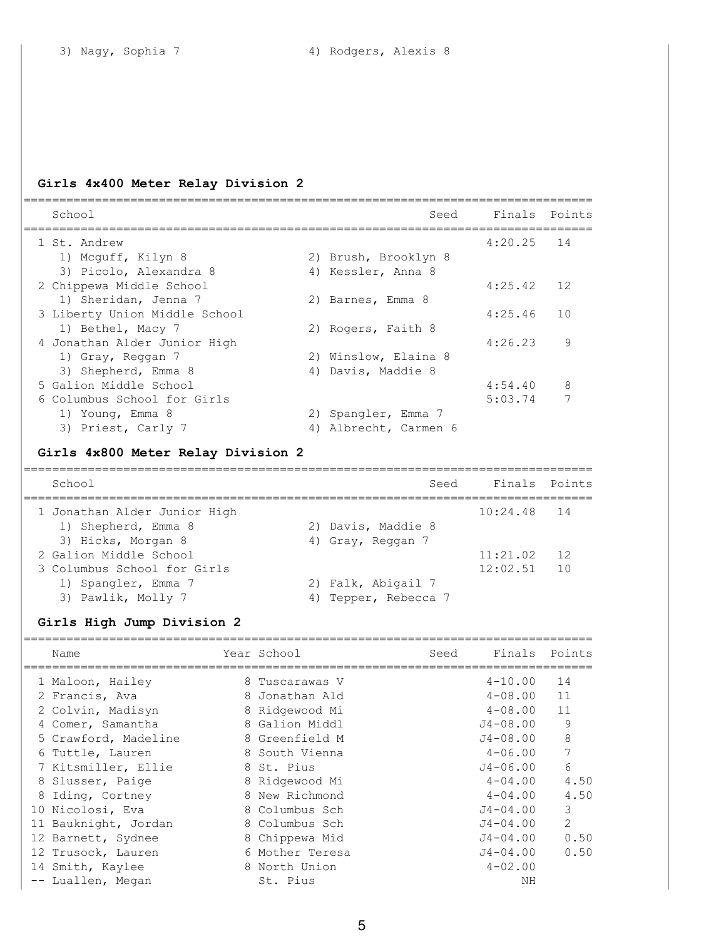## **Girls 4x400 Meter Relay Division 2**

| School                             |    | Seed                 | Finals Points                                                                                                                                                                                                                                                                                            |    |
|------------------------------------|----|----------------------|----------------------------------------------------------------------------------------------------------------------------------------------------------------------------------------------------------------------------------------------------------------------------------------------------------|----|
| 1 St. Andrew                       |    |                      | 4:20.25                                                                                                                                                                                                                                                                                                  | 14 |
| 1) Mcquff, Kilyn 8                 |    | 2) Brush, Brooklyn 8 |                                                                                                                                                                                                                                                                                                          |    |
| 3) Picolo, Alexandra 8             |    | 4) Kessler, Anna 8   |                                                                                                                                                                                                                                                                                                          |    |
| 2 Chippewa Middle School           |    |                      | 4:25.42                                                                                                                                                                                                                                                                                                  | 12 |
| 1) Sheridan, Jenna 7               |    | 2) Barnes, Emma 8    |                                                                                                                                                                                                                                                                                                          |    |
| 3 Liberty Union Middle School      |    |                      | 4:25.46                                                                                                                                                                                                                                                                                                  | 10 |
| 1) Bethel, Macy 7                  |    | 2) Rogers, Faith 8   |                                                                                                                                                                                                                                                                                                          |    |
| 4 Jonathan Alder Junior High       |    |                      | 4:26.23                                                                                                                                                                                                                                                                                                  | 9  |
| 1) Gray, Reggan 7                  |    | 2) Winslow, Elaina 8 |                                                                                                                                                                                                                                                                                                          |    |
| 3) Shepherd, Emma 8                | 4) | Davis, Maddie 8      |                                                                                                                                                                                                                                                                                                          |    |
| 5 Galion Middle School             |    |                      | 4:54.40                                                                                                                                                                                                                                                                                                  | 8  |
| 6 Columbus School for Girls        |    |                      | 5:03.74                                                                                                                                                                                                                                                                                                  | 7  |
| 1) Young, Emma 8                   |    | 2) Spangler, Emma 7  |                                                                                                                                                                                                                                                                                                          |    |
| 3) Priest, Carly 7                 | 4) | Albrecht, Carmen 6   |                                                                                                                                                                                                                                                                                                          |    |
| Girls 4x800 Meter Relay Division 2 |    |                      |                                                                                                                                                                                                                                                                                                          |    |
| $C0$ $h \circ \circ 1$             |    |                      | $C_{\odot}$ $C_{\odot}$ $D_{\odot}$ $D_{\odot}$ $D_{\odot}$ $D_{\odot}$ $D_{\odot}$ $D_{\odot}$ $D_{\odot}$ $D_{\odot}$ $D_{\odot}$ $D_{\odot}$ $D_{\odot}$ $D_{\odot}$ $D_{\odot}$ $D_{\odot}$ $D_{\odot}$ $D_{\odot}$ $D_{\odot}$ $D_{\odot}$ $D_{\odot}$ $D_{\odot}$ $D_{\odot}$ $D_{\odot}$ $D_{\od$ |    |

| School                       |    |                    | Seed | Finals Points |    |
|------------------------------|----|--------------------|------|---------------|----|
| 1 Jonathan Alder Junior High |    |                    |      | $10:24.48$ 14 |    |
| 1) Shepherd, Emma 8          |    | 2) Davis, Maddie 8 |      |               |    |
| 3) Hicks, Morgan 8           |    | 4) Gray, Reggan 7  |      |               |    |
| 2 Galion Middle School       |    |                    |      | 11:21.02      | 12 |
| 3 Columbus School for Girls  |    |                    |      | 12:02.51      | 10 |
| 1) Spangler, Emma 7          |    | 2) Falk, Abigail 7 |      |               |    |
| 3) Pawlik, Molly 7           | 4) | Tepper, Rebecca 7  |      |               |    |

# **Girls High Jump Division 2**

| Name                 | Year School     | Seed | Finals Points |                |
|----------------------|-----------------|------|---------------|----------------|
| 1 Maloon, Hailey     | 8 Tuscarawas V  |      | $4 - 10.00$   | 14             |
| 2 Francis, Ava       | 8 Jonathan Ald  |      | $4 - 08.00$   | 11             |
| 2 Colvin, Madisyn    | 8 Ridgewood Mi  |      | $4 - 08.00$   | 11             |
| 4 Comer, Samantha    | 8 Galion Middl  |      | $J4 - 08.00$  | 9              |
| 5 Crawford, Madeline | 8 Greenfield M  |      | $J4 - 08.00$  | 8              |
| 6 Tuttle, Lauren     | 8 South Vienna  |      | $4 - 06.00$   | 7              |
| 7 Kitsmiller, Ellie  | 8 St. Pius      |      | $J4 - 06.00$  | 6              |
| 8 Slusser, Paige     | 8 Ridgewood Mi  |      | $4 - 04.00$   | 4.50           |
| 8 Iding, Cortney     | 8 New Richmond  |      | $4 - 04.00$   | 4.50           |
| 10 Nicolosi, Eva     | 8 Columbus Sch  |      | $J4 - 04.00$  | 3              |
| 11 Bauknight, Jordan | 8 Columbus Sch  |      | $J4 - 04.00$  | $\overline{2}$ |
| 12 Barnett, Sydnee   | 8 Chippewa Mid  |      | $J4 - 04.00$  | 0.50           |
| 12 Trusock, Lauren   | 6 Mother Teresa |      | $J4 - 04.00$  | 0.50           |
| 14 Smith, Kaylee     | 8 North Union   |      | $4 - 02.00$   |                |
| -- Luallen, Megan    | St. Pius        |      | ΝH            |                |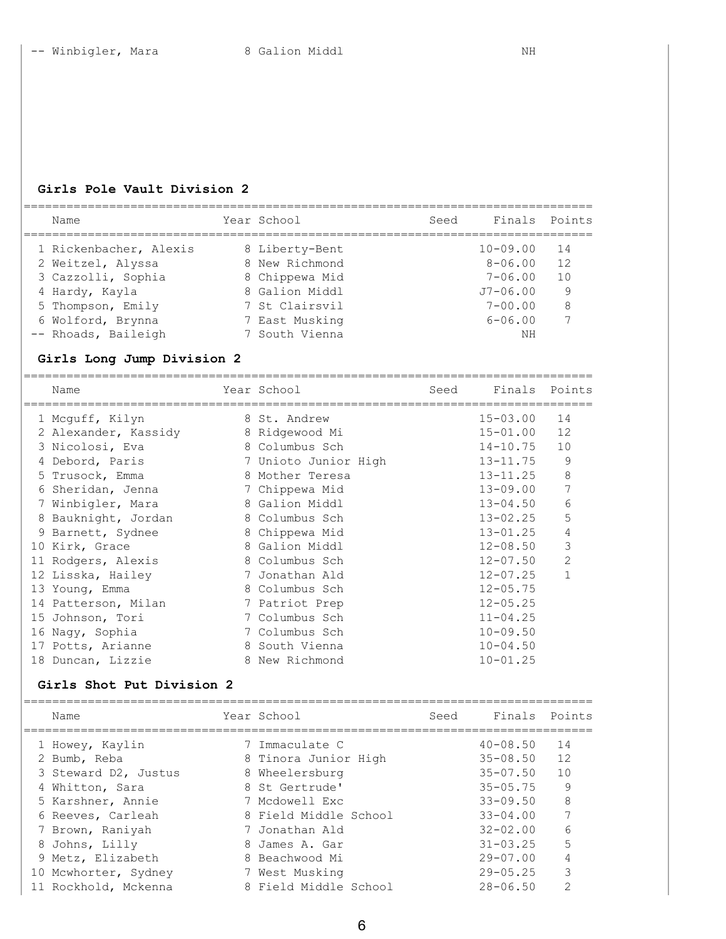### **Girls Pole Vault Division 2**

| Name                   | Year School    | Seed | Finals Points |    |
|------------------------|----------------|------|---------------|----|
| 1 Rickenbacher, Alexis | 8 Liberty-Bent |      | $10 - 09.00$  | 14 |
| 2 Weitzel, Alyssa      | 8 New Richmond |      | $8 - 06.00$   | 12 |
| 3 Cazzolli, Sophia     | 8 Chippewa Mid |      | $7 - 06.00$   | 10 |
| 4 Hardy, Kayla         | 8 Galion Middl |      | $J7 - 06.00$  | 9  |
| 5 Thompson, Emily      | 7 St Clairsvil |      | $7 - 00.00$   | 8  |
| 6 Wolford, Brynna      | 7 East Musking |      | $6 - 06.00$   |    |
| -- Rhoads, Baileigh    | 7 South Vienna |      | ΝH            |    |
|                        |                |      |               |    |

## **Girls Long Jump Division 2**

|   | Name                      | Year School          | Seed | Finals Points |                |
|---|---------------------------|----------------------|------|---------------|----------------|
|   | 1 Mcguff, Kilyn           | 8 St. Andrew         |      | $15 - 03.00$  | 14             |
|   | 2 Alexander, Kassidy      | 8 Ridgewood Mi       |      | $15 - 01.00$  | 12             |
|   | 3 Nicolosi, Eva           | 8 Columbus Sch       |      | $14 - 10.75$  | 10             |
|   | 4 Debord, Paris           | 7 Unioto Junior High |      | $13 - 11.75$  | 9              |
|   | 5 Trusock, Emma           | 8 Mother Teresa      |      | $13 - 11.25$  | 8              |
|   | 6 Sheridan, Jenna         | 7 Chippewa Mid       |      | $13 - 09.00$  | 7              |
| 7 | Winbigler, Mara           | 8 Galion Middl       |      | $13 - 04.50$  | 6              |
|   | 8 Bauknight, Jordan       | 8 Columbus Sch       |      | $13 - 02.25$  | 5              |
| 9 | Barnett, Sydnee           | 8 Chippewa Mid       |      | $13 - 01.25$  | $\overline{4}$ |
|   | 10 Kirk, Grace            | 8 Galion Middl       |      | $12 - 08.50$  | 3              |
|   | 11 Rodgers, Alexis        | 8 Columbus Sch       |      | $12 - 07.50$  | $\overline{2}$ |
|   | 12 Lisska, Hailey         | 7 Jonathan Ald       |      | $12 - 07.25$  | $\mathbf{1}$   |
|   | 13 Young, Emma            | 8 Columbus Sch       |      | $12 - 05.75$  |                |
|   | 14 Patterson, Milan       | 7 Patriot Prep       |      | $12 - 05.25$  |                |
|   | 15 Johnson, Tori          | 7 Columbus Sch       |      | $11 - 04.25$  |                |
|   | 16 Nagy, Sophia           | 7 Columbus Sch       |      | $10 - 09.50$  |                |
|   | 17 Potts, Arianne         | 8 South Vienna       |      | $10 - 04.50$  |                |
|   | 18 Duncan, Lizzie         | 8 New Richmond       |      | $10 - 01.25$  |                |
|   | Girls Shot Put Division 2 |                      |      |               |                |

| Name                 | Year School           | Seed | Finals Points |               |
|----------------------|-----------------------|------|---------------|---------------|
| 1 Howey, Kaylin      | 7 Immaculate C        |      | $40 - 08.50$  | 14            |
| 2 Bumb, Reba         | 8 Tinora Junior High  |      | $35 - 08.50$  | 12            |
| 3 Steward D2, Justus | 8 Wheelersburg        |      | $35 - 07.50$  | 10            |
| 4 Whitton, Sara      | 8 St Gertrude'        |      | $35 - 05.75$  | 9             |
| 5 Karshner, Annie    | 7 Mcdowell Exc        |      | $33 - 09.50$  | 8             |
| 6 Reeves, Carleah    | 8 Field Middle School |      | $33 - 04.00$  | 7             |
| 7 Brown, Raniyah     | 7 Jonathan Ald        |      | $32 - 02.00$  | 6             |
| 8 Johns, Lilly       | 8 James A. Gar        |      | $31 - 03.25$  | 5             |
| 9 Metz, Elizabeth    | 8 Beachwood Mi        |      | $29 - 07.00$  |               |
| 10 Mcwhorter, Sydney | 7 West Musking        |      | $29 - 05.25$  | 3             |
| 11 Rockhold, Mckenna | 8 Field Middle School |      | $28 - 06.50$  | $\mathcal{P}$ |
|                      |                       |      |               |               |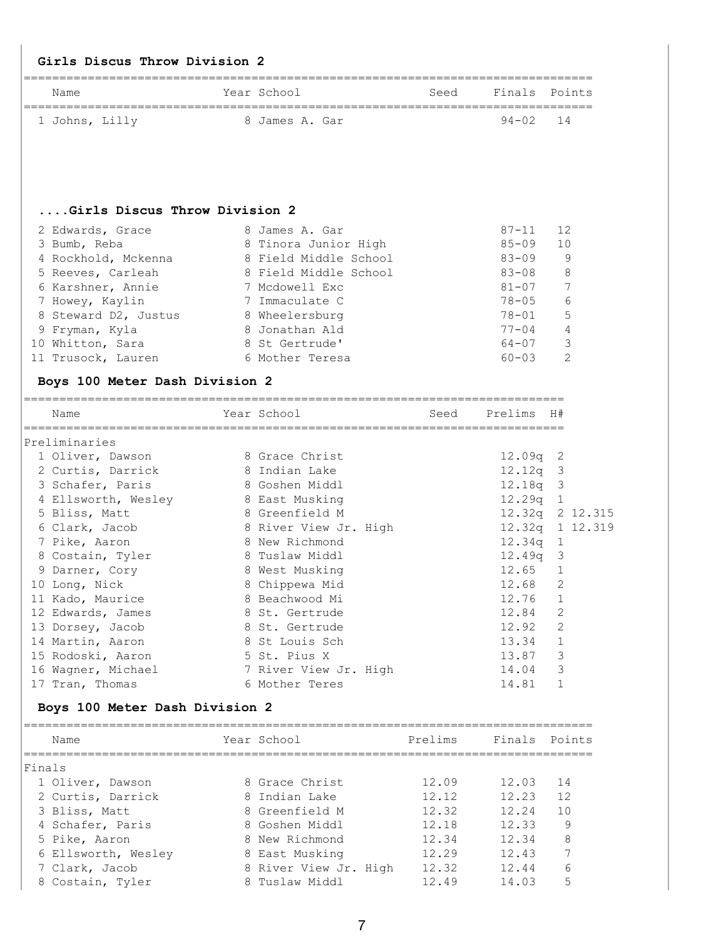#### **Girls Discus Throw Division 2**

| Name           | Year School    | Seed Finals Points |  |
|----------------|----------------|--------------------|--|
|                |                |                    |  |
| 1 Johns, Lilly | 8 James A. Gar | 94-02 14           |  |

#### **....Girls Discus Throw Division 2**

| 2 Edwards, Grace     | 8 James A. Gar        | $87 - 11$ | 12  |
|----------------------|-----------------------|-----------|-----|
| 3 Bumb, Reba         | 8 Tinora Junior High  | $85 - 09$ | 10  |
| 4 Rockhold, Mckenna  | 8 Field Middle School | $83 - 09$ | 9   |
| 5 Reeves, Carleah    | 8 Field Middle School | $83 - 08$ | - 8 |
| 6 Karshner, Annie    | 7 Mcdowell Exc        | $81 - 07$ | 7   |
| 7 Howey, Kaylin      | 7 Immaculate C        | $78 - 05$ | 6   |
| 8 Steward D2, Justus | 8 Wheelersburg        | $78 - 01$ | -5  |
| 9 Fryman, Kyla       | 8 Jonathan Ald        | $77 - 04$ | 4   |
| 10 Whitton, Sara     | 8 St Gertrude'        | $64 - 07$ | 3   |
| 11 Trusock, Lauren   | 6 Mother Teresa       | $60 - 03$ | 2   |

# **Boys 100 Meter Dash Division 2**

| Name                | Year School           | Seed | Prelims H#      |                |  |
|---------------------|-----------------------|------|-----------------|----------------|--|
| Preliminaries       |                       |      |                 |                |  |
| 1 Oliver, Dawson    | 8 Grace Christ        |      | $12.09q$ 2      |                |  |
| 2 Curtis, Darrick   | 8 Indian Lake         |      | $12.12q$ 3      |                |  |
| 3 Schafer, Paris    | 8 Goshen Middl        |      | $12.18q$ 3      |                |  |
| 4 Ellsworth, Wesley | 8 East Musking        |      | $12.29q$ 1      |                |  |
| 5 Bliss, Matt       | 8 Greenfield M        |      | 12.32q 2 12.315 |                |  |
| 6 Clark, Jacob      | 8 River View Jr. High |      | 12.32q 1 12.319 |                |  |
| 7 Pike, Aaron       | 8 New Richmond        |      | 12.34q 1        |                |  |
| 8 Costain, Tyler    | 8 Tuslaw Middl        |      | $12.49q$ 3      |                |  |
| 9 Darner, Cory      | 8 West Musking        |      | 12.65           | $\mathbf 1$    |  |
| 10 Long, Nick       | 8 Chippewa Mid        |      | 12.68           | 2              |  |
| 11 Kado, Maurice    | 8 Beachwood Mi        |      | 12.76           | 1              |  |
| 12 Edwards, James   | 8 St. Gertrude        |      | 12.84           | $\overline{2}$ |  |
| 13 Dorsey, Jacob    | 8 St. Gertrude        |      | 12.92           | 2              |  |
| 14 Martin, Aaron    | 8 St Louis Sch        |      | 13.34           | 1              |  |
| 15 Rodoski, Aaron   | 5 St. Pius X          |      | 13.87           | 3              |  |
| 16 Waqner, Michael  | 7 River View Jr. High |      | 14.04           | 3              |  |
| 17 Tran, Thomas     | 6 Mother Teres        |      | 14.81           |                |  |

## **Boys 100 Meter Dash Division 2**

| Name                | Year School           | Prelims | Finals Points |    |
|---------------------|-----------------------|---------|---------------|----|
| Finals              |                       |         |               |    |
| 1 Oliver, Dawson    | 8 Grace Christ        | 12.09   | 12.03         | 14 |
| 2 Curtis, Darrick   | 8 Indian Lake         | 12.12   | 12.23         | 12 |
| 3 Bliss, Matt       | 8 Greenfield M        | 12.32   | 12.24         | 10 |
| 4 Schafer, Paris    | 8 Goshen Middl        | 12.18   | 12.33         | 9  |
| 5 Pike, Aaron       | 8 New Richmond        | 12.34   | 12.34         | 8  |
| 6 Ellsworth, Wesley | 8 East Musking        | 12.29   | 12.43         | 7  |
| 7 Clark, Jacob      | 8 River View Jr. High | 12.32   | 12.44         | 6  |
| 8 Costain, Tyler    | 8 Tuslaw Middl        | 12.49   | 14.03         | 5  |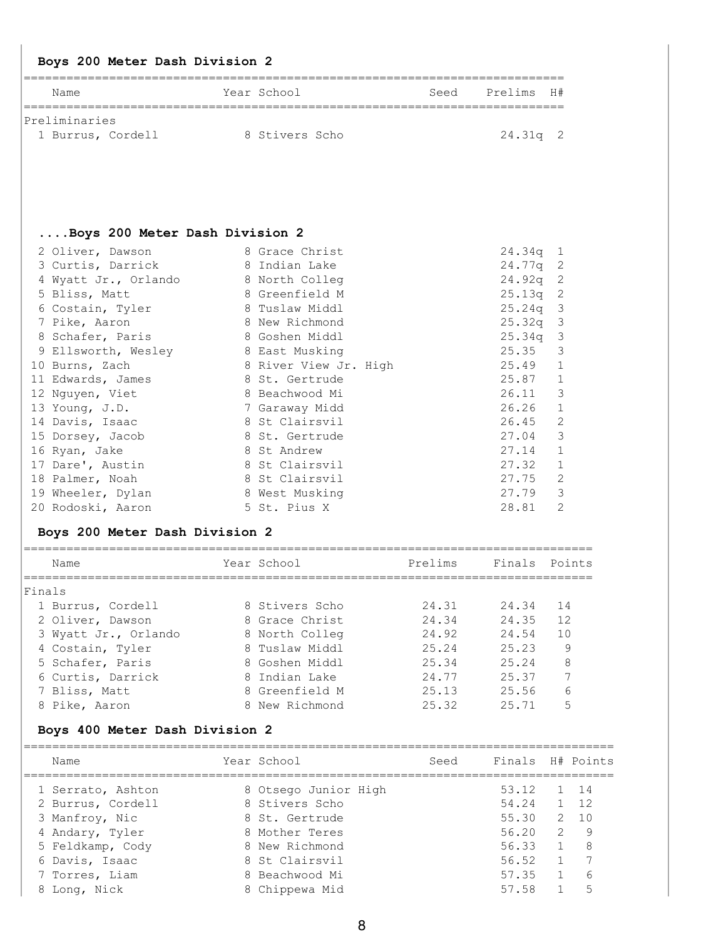## **Boys 200 Meter Dash Division 2**

| Name              | Year School    | Seed | Prelims H# |  |
|-------------------|----------------|------|------------|--|
| Preliminaries     |                |      |            |  |
| 1 Burrus, Cordell | 8 Stivers Scho |      | 24.31q 2   |  |

## **....Boys 200 Meter Dash Division 2**

| 8 Grace Christ        | $24.34q$ 1              |
|-----------------------|-------------------------|
| 8 Indian Lake         | 24.77q 2                |
| 8 North Colleg        | 24.92q<br>-2            |
| 8 Greenfield M        | 25.13q<br>-2            |
| 8 Tuslaw Middl        | -3<br>25.24q            |
| 8 New Richmond        | $25.32q$ 3              |
| 8 Goshen Middl        | $25.34q$ 3              |
| 8 East Musking        | 3<br>25.35              |
| 8 River View Jr. High | 1<br>25.49              |
| 8 St. Gertrude        | 1<br>25.87              |
| 8 Beachwood Mi        | 3<br>26.11              |
| 7 Garaway Midd        | 1<br>26.26              |
| 8 St Clairsvil        | 2<br>26.45              |
| 8 St. Gertrude        | 3<br>27.04              |
| St Andrew<br>8        | $\mathbf 1$<br>27.14    |
| 8 St Clairsvil        | 1<br>27.32              |
| 8 St Clairsvil        | 2<br>27.75              |
| 8 West Musking        | 3<br>27.79              |
| 5 St. Pius X          | $\overline{2}$<br>28.81 |
|                       |                         |

#### **Boys 200 Meter Dash Division 2**

| Name                 | Year School    | Prelims | Finals Points |    |
|----------------------|----------------|---------|---------------|----|
| Finals               |                |         |               |    |
| 1 Burrus, Cordell    | 8 Stivers Scho | 24.31   | 24.34         | 14 |
| 2 Oliver, Dawson     | 8 Grace Christ | 24.34   | 24.35         | 12 |
| 3 Wyatt Jr., Orlando | 8 North Colleg | 24.92   | 24.54         | 10 |
| 4 Costain, Tyler     | 8 Tuslaw Middl | 25.24   | 25.23         | 9  |
| 5 Schafer, Paris     | 8 Goshen Middl | 25.34   | 25.24         | 8  |
| 6 Curtis, Darrick    | 8 Indian Lake  | 24.77   | 25.37         |    |
| 7 Bliss, Matt        | 8 Greenfield M | 25.13   | 25.56         | 6  |
| 8 Pike, Aaron        | 8 New Richmond | 25.32   | 25.71         | 5  |

#### **Boys 400 Meter Dash Division 2**

| Name              | Year School          | Seed | Finals H# Points |                |          |
|-------------------|----------------------|------|------------------|----------------|----------|
| 1 Serrato, Ashton | 8 Otsego Junior High |      | 53.12            |                | 1 14     |
| 2 Burrus, Cordell | 8 Stivers Scho       |      | 54.24            |                | $1 \t12$ |
| 3 Manfroy, Nic    | 8 St. Gertrude       |      | 55.30            | 2              | 10       |
| 4 Andary, Tyler   | 8 Mother Teres       |      | 56.20            | $\overline{2}$ | -9       |
| 5 Feldkamp, Cody  | 8 New Richmond       |      | 56.33            |                | -8       |
| 6 Davis, Isaac    | 8 St Clairsvil       |      | 56.52            |                |          |
| 7 Torres, Liam    | 8 Beachwood Mi       |      | 57.35            |                | 6        |
| 8 Long, Nick      | 8 Chippewa Mid       |      | 57.58            |                | 5        |
|                   |                      |      |                  |                |          |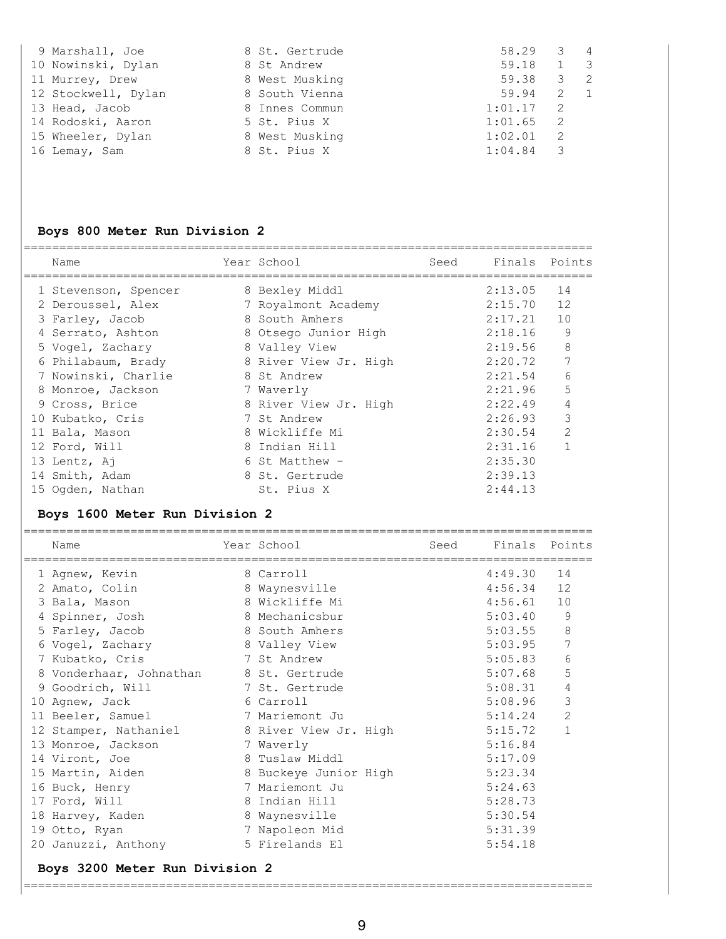| 9 Marshall, Joe     | 8 St. Gertrude | 58.29   |                          | 3 4            |
|---------------------|----------------|---------|--------------------------|----------------|
| 10 Nowinski, Dylan  | 8 St Andrew    | 59.18   | 1                        | $\mathbf{3}$   |
| 11 Murrey, Drew     | 8 West Musking | 59.38   | 3                        | $\overline{2}$ |
| 12 Stockwell, Dylan | 8 South Vienna | 59.94   | 2                        | $\overline{1}$ |
| 13 Head, Jacob      | 8 Innes Commun | 1:01.17 | $\overline{2}$           |                |
| 14 Rodoski, Aaron   | 5 St. Pius X   | 1:01.65 | $\overline{2}$           |                |
| 15 Wheeler, Dylan   | 8 West Musking | 1:02.01 | $\overline{2}$           |                |
| 16 Lemay, Sam       | 8 St. Pius X   | 1:04.84 | $\overline{\phantom{a}}$ |                |

# **Boys 800 Meter Run Division 2**

| Name                 | Year School           | Seed | Finals Points |                |
|----------------------|-----------------------|------|---------------|----------------|
| 1 Stevenson, Spencer | 8 Bexley Middl        |      | 2:13.05       | 14             |
| 2 Deroussel, Alex    | 7 Royalmont Academy   |      | 2:15.70       | 12             |
| 3 Farley, Jacob      | 8 South Amhers        |      | 2:17.21       | 10             |
| 4 Serrato, Ashton    | 8 Otsego Junior High  |      | 2:18.16       | 9              |
| 5 Vogel, Zachary     | 8 Valley View         |      | 2:19.56       | 8              |
| 6 Philabaum, Brady   | 8 River View Jr. High |      | 2:20.72       | 7              |
| 7 Nowinski, Charlie  | 8 St Andrew           |      | 2:21.54       | 6              |
| 8 Monroe, Jackson    | 7 Waverly             |      | 2:21.96       | 5              |
| 9 Cross, Brice       | 8 River View Jr. High |      | 2:22.49       |                |
| 10 Kubatko, Cris     | 7 St Andrew           |      | 2:26.93       | 3              |
| 11 Bala, Mason       | 8 Wickliffe Mi        |      | 2:30.54       | $\overline{2}$ |
| 12 Ford, Will        | 8 Indian Hill         |      | 2:31.16       |                |
| 13 Lentz, Aj         | 6 St Matthew -        |      | 2:35.30       |                |
| 14 Smith, Adam       | 8 St. Gertrude        |      | 2:39.13       |                |
| 15 Ogden, Nathan     | St. Pius X            |      | 2:44.13       |                |
|                      |                       |      |               |                |

### **Boys 1600 Meter Run Division 2**

| Name                    |   | Year School           | Seed | Finals Points |              |
|-------------------------|---|-----------------------|------|---------------|--------------|
| 1 Agnew, Kevin          |   | 8 Carroll             |      | 4:49.30       | 14           |
| 2 Amato, Colin          | 8 | Waynesville           |      | 4:56.34       | 12           |
| 3 Bala, Mason           |   | 8 Wickliffe Mi        |      | 4:56.61       | 10           |
| 4 Spinner, Josh         |   | 8 Mechanicsbur        |      | 5:03.40       | 9            |
| 5 Farley, Jacob         |   | 8 South Amhers        |      | 5:03.55       | 8            |
| 6 Vogel, Zachary        |   | 8 Valley View         |      | 5:03.95       | 7            |
| 7 Kubatko, Cris         |   | 7 St Andrew           |      | 5:05.83       | 6            |
| 8 Vonderhaar, Johnathan |   | 8 St. Gertrude        |      | 5:07.68       | 5            |
| 9 Goodrich, Will        |   | 7 St. Gertrude        |      | 5:08.31       | 4            |
| 10 Agnew, Jack          |   | 6 Carroll             |      | 5:08.96       | 3            |
| 11 Beeler, Samuel       |   | 7 Mariemont Ju        |      | 5:14.24       | 2            |
| 12 Stamper, Nathaniel   |   | 8 River View Jr. High |      | 5:15.72       | $\mathbf{1}$ |
| 13 Monroe, Jackson      |   | 7 Waverly             |      | 5:16.84       |              |
| 14 Viront, Joe          |   | 8 Tuslaw Middl        |      | 5:17.09       |              |
| 15 Martin, Aiden        |   | 8 Buckeye Junior High |      | 5:23.34       |              |
| 16 Buck, Henry          |   | 7 Mariemont Ju        |      | 5:24.63       |              |
| 17 Ford, Will           |   | 8 Indian Hill         |      | 5:28.73       |              |
| 18 Harvey, Kaden        |   | 8 Waynesville         |      | 5:30.54       |              |
| 19 Otto, Ryan           |   | 7 Napoleon Mid        |      | 5:31.39       |              |
| 20 Januzzi, Anthony     |   | 5 Firelands El        |      | 5:54.18       |              |

#### **Boys 3200 Meter Run Division 2**

================================================================================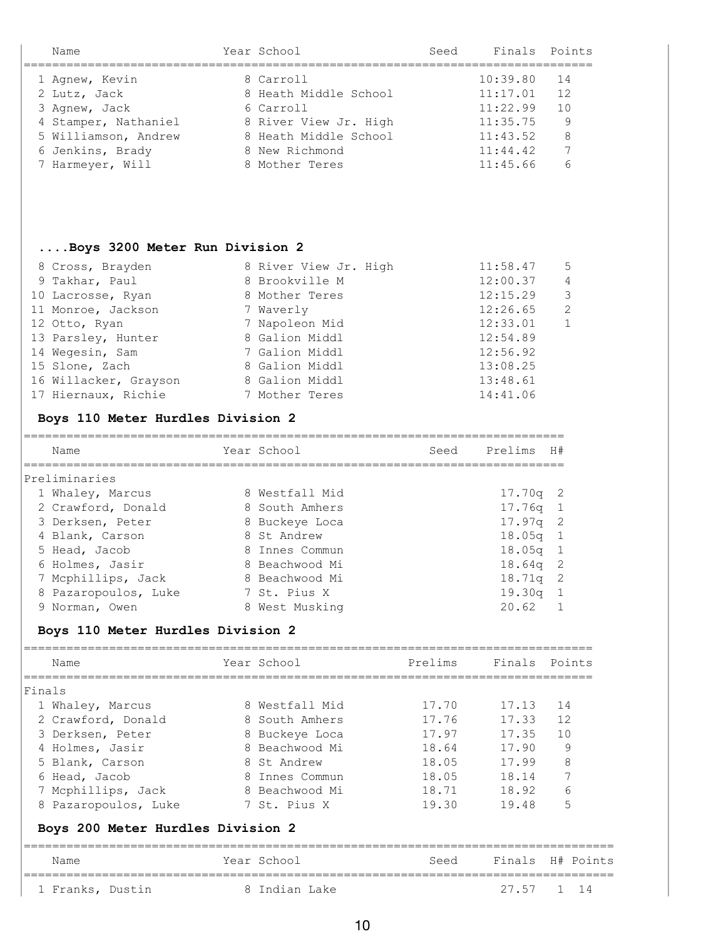| Name                 | Year School           | Seed | Finals Points |    |
|----------------------|-----------------------|------|---------------|----|
| 1 Agnew, Kevin       | 8 Carroll             |      | 10:39.80      | 14 |
| 2 Lutz, Jack         | 8 Heath Middle School |      | 11:17.01      | 12 |
| 3 Agnew, Jack        | 6 Carroll             |      | 11:22.99      | 10 |
| 4 Stamper, Nathaniel | 8 River View Jr. High |      | 11:35.75      | 9  |
| 5 Williamson, Andrew | 8 Heath Middle School |      | 11:43.52      | 8  |
| 6 Jenkins, Brady     | 8 New Richmond        |      | 11:44.42      | 7  |
| 7 Harmeyer, Will     | 8 Mother Teres        |      | 11:45.66      | 6  |
|                      |                       |      |               |    |

#### **....Boys 3200 Meter Run Division 2**

| 8 Cross, Brayden      | 8 River View Jr. High | 11:58.47 | - 5                     |
|-----------------------|-----------------------|----------|-------------------------|
| 9 Takhar, Paul        | 8 Brookville M        | 12:00.37 | $\overline{4}$          |
| 10 Lacrosse, Ryan     | 8 Mother Teres        | 12:15.29 | $\overline{\mathbf{3}}$ |
| 11 Monroe, Jackson    | 7 Waverly             | 12:26.65 | $\overline{c}$          |
| 12 Otto, Ryan         | 7 Napoleon Mid        | 12:33.01 | -1                      |
| 13 Parsley, Hunter    | 8 Galion Middl        | 12:54.89 |                         |
| 14 Wegesin, Sam       | 7 Galion Middl        | 12:56.92 |                         |
| 15 Slone, Zach        | 8 Galion Middl        | 13:08.25 |                         |
| 16 Willacker, Grayson | 8 Galion Middl        | 13:48.61 |                         |
| 17 Hiernaux, Richie   | 7 Mother Teres        | 14:41.06 |                         |
|                       |                       |          |                         |

### **Boys 110 Meter Hurdles Division 2**

| Name                 | Year School    | Seed | Prelims         | H#             |
|----------------------|----------------|------|-----------------|----------------|
| Preliminaries        |                |      |                 |                |
| 1 Whaley, Marcus     | 8 Westfall Mid |      | $17.70q$ 2      |                |
| 2 Crawford, Donald   | 8 South Amhers |      | $17.76q$ 1      |                |
| 3 Derksen, Peter     | 8 Buckeye Loca |      | $17.97q$ 2      |                |
| 4 Blank, Carson      | 8 St Andrew    |      | $18.05q$ 1      |                |
| 5 Head, Jacob        | 8 Innes Commun |      | $18.05q$ 1      |                |
| 6 Holmes, Jasir      | 8 Beachwood Mi |      | $18.64q$ 2      |                |
| 7 Mcphillips, Jack   | 8 Beachwood Mi |      | 18.71g          | $\overline{2}$ |
| 8 Pazaropoulos, Luke | 7 St. Pius X   |      | 19.30q          | - 1            |
| 9 Norman, Owen       | 8 West Musking |      | $20.62 \quad 1$ |                |
|                      |                |      |                 |                |

#### **Boys 110 Meter Hurdles Division 2**

| Name                              | Year School    | Prelims | Finals Points |                      |
|-----------------------------------|----------------|---------|---------------|----------------------|
| Finals                            |                |         |               |                      |
| 1 Whaley, Marcus                  | 8 Westfall Mid | 17.70   | 17.13         | 14                   |
| 2 Crawford, Donald                | 8 South Amhers | 17.76   | 17.33         | 12                   |
| 3 Derksen, Peter                  | 8 Buckeye Loca | 17.97   | 17.35         | 10                   |
| 4 Holmes, Jasir                   | 8 Beachwood Mi | 18.64   | 17.90         | 9                    |
| 5 Blank, Carson                   | 8 St Andrew    | 18.05   | 17.99         | 8                    |
| 6 Head, Jacob                     | 8 Innes Commun | 18.05   | 18.14         |                      |
| 7 Mcphillips, Jack                | 8 Beachwood Mi | 18.71   | 18.92         | 6                    |
| 8 Pazaropoulos, Luke              | 7 St. Pius X   | 19.30   | 19.48         | 5                    |
| Boys 200 Meter Hurdles Division 2 |                |         |               |                      |
| Name                              | Year School    | Seed    |               | Finals H# Points     |
| 1 Franks, Dustin                  | 8 Indian Lake  |         | 27.57         | $\overline{1}$<br>14 |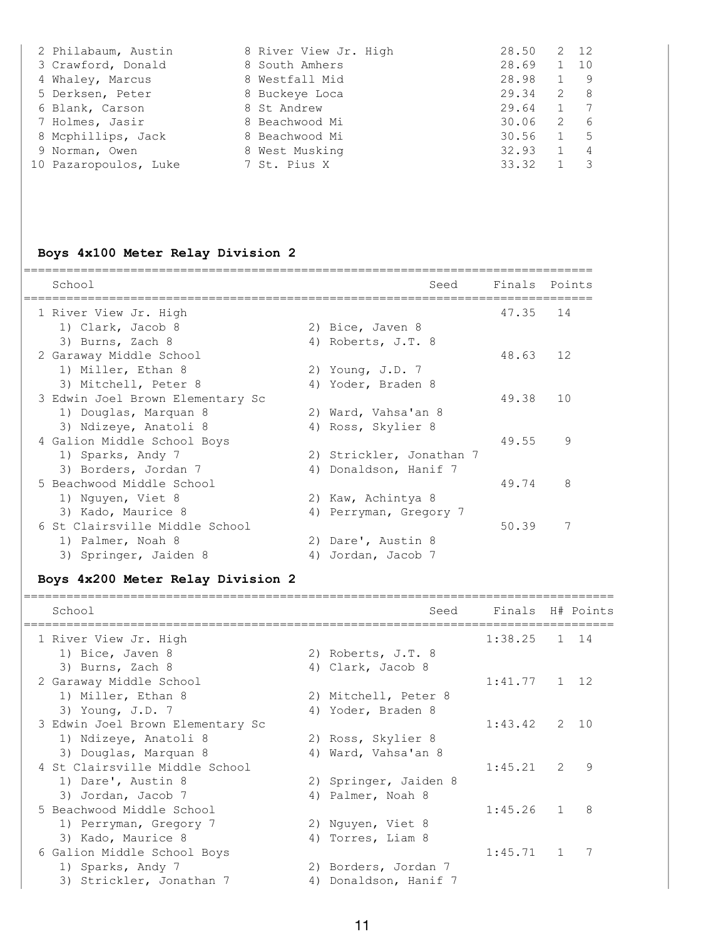| 2 Philabaum, Austin   | 8 River View Jr. High | 28.50 |                | 2 12 |
|-----------------------|-----------------------|-------|----------------|------|
| 3 Crawford, Donald    | 8 South Amhers        | 28.69 | 1              | 10   |
| 4 Whaley, Marcus      | 8 Westfall Mid        | 28.98 | $\mathbf{1}$   | -9   |
| 5 Derksen, Peter      | 8 Buckeye Loca        | 29.34 | 2              | -8   |
| 6 Blank, Carson       | 8 St Andrew           | 29.64 |                |      |
| 7 Holmes, Jasir       | 8 Beachwood Mi        | 30.06 | $\overline{2}$ | 6    |
| 8 Mcphillips, Jack    | 8 Beachwood Mi        | 30.56 |                | -5   |
| 9 Norman, Owen        | 8 West Musking        | 32.93 | $\mathbf{1}$   | 4    |
| 10 Pazaropoulos, Luke | 7 St. Pius X          | 33.32 |                |      |

# **Boys 4x100 Meter Relay Division 2**

| School                           |    | Seed                     | Finals Points |    |
|----------------------------------|----|--------------------------|---------------|----|
| 1 River View Jr. High            |    |                          | 47.35         | 14 |
| 1) Clark, Jacob 8                |    | 2) Bice, Javen 8         |               |    |
| 3) Burns, Zach 8                 |    | 4) Roberts, J.T. 8       |               |    |
| 2 Garaway Middle School          |    |                          | 48.63         | 12 |
| 1) Miller, Ethan 8               |    | 2) Young, J.D. 7         |               |    |
| 3) Mitchell, Peter 8             |    | 4) Yoder, Braden 8       |               |    |
| 3 Edwin Joel Brown Elementary Sc |    |                          | 49.38         | 10 |
| 1) Douglas, Marquan 8            |    | 2) Ward, Vahsa'an 8      |               |    |
| 3) Ndizeye, Anatoli 8            |    | 4) Ross, Skylier 8       |               |    |
| 4 Galion Middle School Boys      |    |                          | 49.55         | 9  |
| 1) Sparks, Andy 7                |    | 2) Strickler, Jonathan 7 |               |    |
| 3) Borders, Jordan 7             | 4) | Donaldson, Hanif 7       |               |    |
| 5 Beachwood Middle School        |    |                          | 49.74         | 8  |
| 1) Nguyen, Viet 8                |    | 2) Kaw, Achintya 8       |               |    |
| 3) Kado, Maurice 8               | 4) | Perryman, Gregory 7      |               |    |
| 6 St Clairsville Middle School   |    |                          | 50.39         | 7  |
| 1) Palmer, Noah 8                |    | 2) Dare', Austin 8       |               |    |
| 3) Springer, Jaiden 8            | 4) | Jordan, Jacob 7          |               |    |

# **Boys 4x200 Meter Relay Division 2**

| School                           | Seed                  | Finals H# Points |               |      |
|----------------------------------|-----------------------|------------------|---------------|------|
| 1 River View Jr. High            |                       | $1:38.25$ 1 14   |               |      |
| 1) Bice, Javen 8                 | 2) Roberts, J.T. 8    |                  |               |      |
| 3) Burns, Zach 8                 | 4) Clark, Jacob 8     |                  |               |      |
| 2 Garaway Middle School          |                       | $1:41.77$ 1 12   |               |      |
| 1) Miller, Ethan 8               | 2) Mitchell, Peter 8  |                  |               |      |
| 3) Young, J.D. 7                 | 4) Yoder, Braden 8    |                  |               |      |
| 3 Edwin Joel Brown Elementary Sc |                       | 1:43.42          |               | 2 10 |
| 1) Ndizeye, Anatoli 8            | 2) Ross, Skylier 8    |                  |               |      |
| 3) Douglas, Marquan 8            | 4) Ward, Vahsa'an 8   |                  |               |      |
| 4 St Clairsville Middle School   |                       | 1:45.21          | $\mathcal{P}$ | 9    |
| 1) Dare', Austin 8               | 2) Springer, Jaiden 8 |                  |               |      |
| 3) Jordan, Jacob 7               | 4) Palmer, Noah 8     |                  |               |      |
| 5 Beachwood Middle School        |                       | 1:45.26          |               | 8    |
| 1) Perryman, Gregory 7           | 2) Nguyen, Viet 8     |                  |               |      |
| 3) Kado, Maurice 8               | 4) Torres, Liam 8     |                  |               |      |
| 6 Galion Middle School Boys      |                       | $1:45.71$ 1      |               |      |
| 1) Sparks, Andy 7                | 2) Borders, Jordan 7  |                  |               |      |
| 3) Strickler, Jonathan 7         | 4) Donaldson, Hanif 7 |                  |               |      |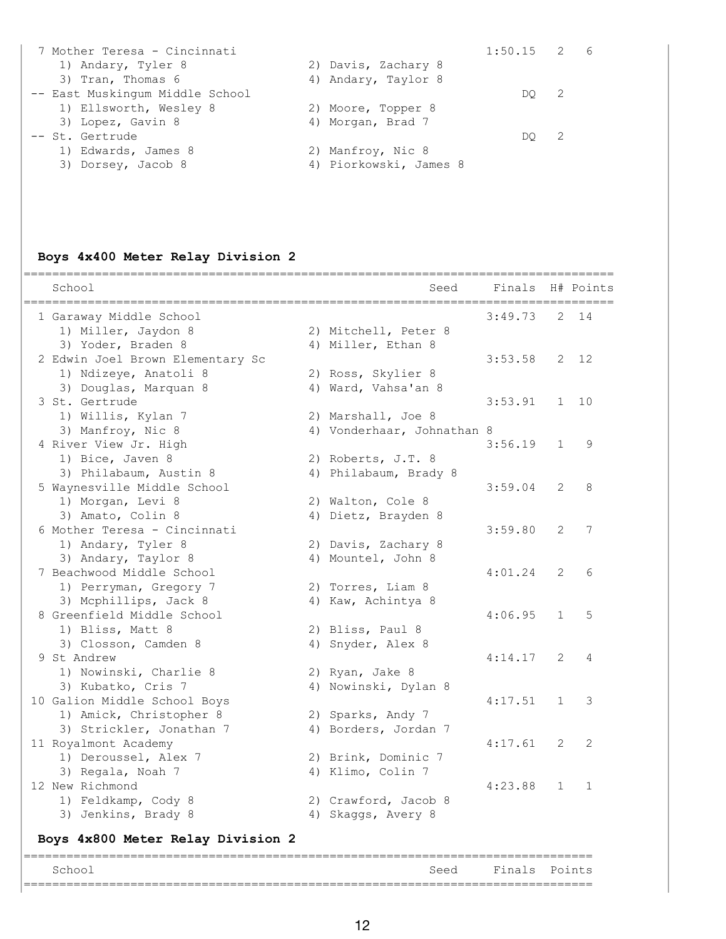| $1:50.15$ 2 6<br>7 Mother Teresa - Cincinnati |                |  |
|-----------------------------------------------|----------------|--|
| 2) Davis, Zachary 8<br>1) Andary, Tyler 8     |                |  |
| 3) Tran, Thomas 6<br>4) Andary, Taylor 8      |                |  |
| -- East Muskingum Middle School<br>DO         | $\overline{2}$ |  |
| 1) Ellsworth, Wesley 8<br>2) Moore, Topper 8  |                |  |
| 3) Lopez, Gavin 8<br>4) Morgan, Brad 7        |                |  |
| -- St. Gertrude<br>DO                         | $\overline{2}$ |  |
| 1) Edwards, James 8<br>2) Manfroy, Nic 8      |                |  |
| 4) Piorkowski, James 8<br>3) Dorsey, Jacob 8  |                |  |

# **Boys 4x400 Meter Relay Division 2**

| 1 Garaway Middle School<br>3:49.73<br>2<br>1) Miller, Jaydon 8<br>2) Mitchell, Peter 8<br>3) Yoder, Braden 8<br>4) Miller, Ethan 8<br>2 Edwin Joel Brown Elementary Sc<br>3:53.58<br>2<br>1) Ndizeye, Anatoli 8<br>2) Ross, Skylier 8<br>3) Douglas, Marquan 8<br>4) Ward, Vahsa'an 8<br>3 St. Gertrude<br>3:53.91<br>$\mathbf 1$<br>1) Willis, Kylan 7<br>2) Marshall, Joe 8<br>3) Manfroy, Nic 8<br>4) Vonderhaar, Johnathan 8<br>4 River View Jr. High<br>3:56.19<br>$\mathbf{1}$<br>1) Bice, Javen 8<br>2) Roberts, J.T. 8<br>3) Philabaum, Austin 8<br>4) Philabaum, Brady 8<br>5 Waynesville Middle School<br>3:59.04<br>2<br>1) Morgan, Levi 8<br>2) Walton, Cole 8<br>3) Amato, Colin 8<br>4) Dietz, Brayden 8<br>$\overline{2}$<br>6 Mother Teresa - Cincinnati<br>3:59.80<br>1) Andary, Tyler 8<br>2) Davis, Zachary 8<br>3) Andary, Taylor 8<br>4) Mountel, John 8<br>7 Beachwood Middle School<br>4:01.24<br>2<br>1) Perryman, Gregory 7<br>2) Torres, Liam 8<br>3) Mcphillips, Jack 8<br>4) Kaw, Achintya 8<br>8 Greenfield Middle School<br>4:06.95<br>$\mathbf{1}$<br>1) Bliss, Matt 8<br>2) Bliss, Paul 8<br>3) Closson, Camden 8<br>4) Snyder, Alex 8<br>9 St Andrew<br>4:14.17<br>2<br>1) Nowinski, Charlie 8<br>2) Ryan, Jake 8<br>3) Kubatko, Cris 7<br>4) Nowinski, Dylan 8<br>10 Galion Middle School Boys<br>4:17.51<br>$\mathbf{1}$<br>1) Amick, Christopher 8<br>2) Sparks, Andy 7<br>3) Strickler, Jonathan 7<br>4) Borders, Jordan 7<br>11 Royalmont Academy<br>4:17.61<br>2<br>1) Deroussel, Alex 7<br>2) Brink, Dominic 7<br>4) Klimo, Colin 7<br>3) Regala, Noah 7<br>12 New Richmond<br>4:23.88<br>$\mathbf 1$<br>1) Feldkamp, Cody 8<br>2) Crawford, Jacob 8<br>3) Jenkins, Brady 8<br>4) Skaggs, Avery 8 | School                            | Seed | Finals | H# Points    |
|-------------------------------------------------------------------------------------------------------------------------------------------------------------------------------------------------------------------------------------------------------------------------------------------------------------------------------------------------------------------------------------------------------------------------------------------------------------------------------------------------------------------------------------------------------------------------------------------------------------------------------------------------------------------------------------------------------------------------------------------------------------------------------------------------------------------------------------------------------------------------------------------------------------------------------------------------------------------------------------------------------------------------------------------------------------------------------------------------------------------------------------------------------------------------------------------------------------------------------------------------------------------------------------------------------------------------------------------------------------------------------------------------------------------------------------------------------------------------------------------------------------------------------------------------------------------------------------------------------------------------------------------------------------------------------------------------------------------------------------------|-----------------------------------|------|--------|--------------|
|                                                                                                                                                                                                                                                                                                                                                                                                                                                                                                                                                                                                                                                                                                                                                                                                                                                                                                                                                                                                                                                                                                                                                                                                                                                                                                                                                                                                                                                                                                                                                                                                                                                                                                                                           |                                   |      |        | 14           |
|                                                                                                                                                                                                                                                                                                                                                                                                                                                                                                                                                                                                                                                                                                                                                                                                                                                                                                                                                                                                                                                                                                                                                                                                                                                                                                                                                                                                                                                                                                                                                                                                                                                                                                                                           |                                   |      |        |              |
|                                                                                                                                                                                                                                                                                                                                                                                                                                                                                                                                                                                                                                                                                                                                                                                                                                                                                                                                                                                                                                                                                                                                                                                                                                                                                                                                                                                                                                                                                                                                                                                                                                                                                                                                           |                                   |      |        |              |
|                                                                                                                                                                                                                                                                                                                                                                                                                                                                                                                                                                                                                                                                                                                                                                                                                                                                                                                                                                                                                                                                                                                                                                                                                                                                                                                                                                                                                                                                                                                                                                                                                                                                                                                                           |                                   |      |        | 12           |
|                                                                                                                                                                                                                                                                                                                                                                                                                                                                                                                                                                                                                                                                                                                                                                                                                                                                                                                                                                                                                                                                                                                                                                                                                                                                                                                                                                                                                                                                                                                                                                                                                                                                                                                                           |                                   |      |        |              |
|                                                                                                                                                                                                                                                                                                                                                                                                                                                                                                                                                                                                                                                                                                                                                                                                                                                                                                                                                                                                                                                                                                                                                                                                                                                                                                                                                                                                                                                                                                                                                                                                                                                                                                                                           |                                   |      |        |              |
|                                                                                                                                                                                                                                                                                                                                                                                                                                                                                                                                                                                                                                                                                                                                                                                                                                                                                                                                                                                                                                                                                                                                                                                                                                                                                                                                                                                                                                                                                                                                                                                                                                                                                                                                           |                                   |      |        | 10           |
|                                                                                                                                                                                                                                                                                                                                                                                                                                                                                                                                                                                                                                                                                                                                                                                                                                                                                                                                                                                                                                                                                                                                                                                                                                                                                                                                                                                                                                                                                                                                                                                                                                                                                                                                           |                                   |      |        |              |
|                                                                                                                                                                                                                                                                                                                                                                                                                                                                                                                                                                                                                                                                                                                                                                                                                                                                                                                                                                                                                                                                                                                                                                                                                                                                                                                                                                                                                                                                                                                                                                                                                                                                                                                                           |                                   |      |        |              |
|                                                                                                                                                                                                                                                                                                                                                                                                                                                                                                                                                                                                                                                                                                                                                                                                                                                                                                                                                                                                                                                                                                                                                                                                                                                                                                                                                                                                                                                                                                                                                                                                                                                                                                                                           |                                   |      |        | 9            |
|                                                                                                                                                                                                                                                                                                                                                                                                                                                                                                                                                                                                                                                                                                                                                                                                                                                                                                                                                                                                                                                                                                                                                                                                                                                                                                                                                                                                                                                                                                                                                                                                                                                                                                                                           |                                   |      |        |              |
|                                                                                                                                                                                                                                                                                                                                                                                                                                                                                                                                                                                                                                                                                                                                                                                                                                                                                                                                                                                                                                                                                                                                                                                                                                                                                                                                                                                                                                                                                                                                                                                                                                                                                                                                           |                                   |      |        |              |
|                                                                                                                                                                                                                                                                                                                                                                                                                                                                                                                                                                                                                                                                                                                                                                                                                                                                                                                                                                                                                                                                                                                                                                                                                                                                                                                                                                                                                                                                                                                                                                                                                                                                                                                                           |                                   |      |        | 8            |
|                                                                                                                                                                                                                                                                                                                                                                                                                                                                                                                                                                                                                                                                                                                                                                                                                                                                                                                                                                                                                                                                                                                                                                                                                                                                                                                                                                                                                                                                                                                                                                                                                                                                                                                                           |                                   |      |        |              |
|                                                                                                                                                                                                                                                                                                                                                                                                                                                                                                                                                                                                                                                                                                                                                                                                                                                                                                                                                                                                                                                                                                                                                                                                                                                                                                                                                                                                                                                                                                                                                                                                                                                                                                                                           |                                   |      |        |              |
|                                                                                                                                                                                                                                                                                                                                                                                                                                                                                                                                                                                                                                                                                                                                                                                                                                                                                                                                                                                                                                                                                                                                                                                                                                                                                                                                                                                                                                                                                                                                                                                                                                                                                                                                           |                                   |      |        | 7            |
|                                                                                                                                                                                                                                                                                                                                                                                                                                                                                                                                                                                                                                                                                                                                                                                                                                                                                                                                                                                                                                                                                                                                                                                                                                                                                                                                                                                                                                                                                                                                                                                                                                                                                                                                           |                                   |      |        |              |
|                                                                                                                                                                                                                                                                                                                                                                                                                                                                                                                                                                                                                                                                                                                                                                                                                                                                                                                                                                                                                                                                                                                                                                                                                                                                                                                                                                                                                                                                                                                                                                                                                                                                                                                                           |                                   |      |        |              |
|                                                                                                                                                                                                                                                                                                                                                                                                                                                                                                                                                                                                                                                                                                                                                                                                                                                                                                                                                                                                                                                                                                                                                                                                                                                                                                                                                                                                                                                                                                                                                                                                                                                                                                                                           |                                   |      |        | 6            |
|                                                                                                                                                                                                                                                                                                                                                                                                                                                                                                                                                                                                                                                                                                                                                                                                                                                                                                                                                                                                                                                                                                                                                                                                                                                                                                                                                                                                                                                                                                                                                                                                                                                                                                                                           |                                   |      |        |              |
|                                                                                                                                                                                                                                                                                                                                                                                                                                                                                                                                                                                                                                                                                                                                                                                                                                                                                                                                                                                                                                                                                                                                                                                                                                                                                                                                                                                                                                                                                                                                                                                                                                                                                                                                           |                                   |      |        |              |
|                                                                                                                                                                                                                                                                                                                                                                                                                                                                                                                                                                                                                                                                                                                                                                                                                                                                                                                                                                                                                                                                                                                                                                                                                                                                                                                                                                                                                                                                                                                                                                                                                                                                                                                                           |                                   |      |        | 5            |
|                                                                                                                                                                                                                                                                                                                                                                                                                                                                                                                                                                                                                                                                                                                                                                                                                                                                                                                                                                                                                                                                                                                                                                                                                                                                                                                                                                                                                                                                                                                                                                                                                                                                                                                                           |                                   |      |        |              |
|                                                                                                                                                                                                                                                                                                                                                                                                                                                                                                                                                                                                                                                                                                                                                                                                                                                                                                                                                                                                                                                                                                                                                                                                                                                                                                                                                                                                                                                                                                                                                                                                                                                                                                                                           |                                   |      |        |              |
|                                                                                                                                                                                                                                                                                                                                                                                                                                                                                                                                                                                                                                                                                                                                                                                                                                                                                                                                                                                                                                                                                                                                                                                                                                                                                                                                                                                                                                                                                                                                                                                                                                                                                                                                           |                                   |      |        | 4            |
|                                                                                                                                                                                                                                                                                                                                                                                                                                                                                                                                                                                                                                                                                                                                                                                                                                                                                                                                                                                                                                                                                                                                                                                                                                                                                                                                                                                                                                                                                                                                                                                                                                                                                                                                           |                                   |      |        |              |
|                                                                                                                                                                                                                                                                                                                                                                                                                                                                                                                                                                                                                                                                                                                                                                                                                                                                                                                                                                                                                                                                                                                                                                                                                                                                                                                                                                                                                                                                                                                                                                                                                                                                                                                                           |                                   |      |        |              |
|                                                                                                                                                                                                                                                                                                                                                                                                                                                                                                                                                                                                                                                                                                                                                                                                                                                                                                                                                                                                                                                                                                                                                                                                                                                                                                                                                                                                                                                                                                                                                                                                                                                                                                                                           |                                   |      |        | 3            |
|                                                                                                                                                                                                                                                                                                                                                                                                                                                                                                                                                                                                                                                                                                                                                                                                                                                                                                                                                                                                                                                                                                                                                                                                                                                                                                                                                                                                                                                                                                                                                                                                                                                                                                                                           |                                   |      |        |              |
|                                                                                                                                                                                                                                                                                                                                                                                                                                                                                                                                                                                                                                                                                                                                                                                                                                                                                                                                                                                                                                                                                                                                                                                                                                                                                                                                                                                                                                                                                                                                                                                                                                                                                                                                           |                                   |      |        |              |
|                                                                                                                                                                                                                                                                                                                                                                                                                                                                                                                                                                                                                                                                                                                                                                                                                                                                                                                                                                                                                                                                                                                                                                                                                                                                                                                                                                                                                                                                                                                                                                                                                                                                                                                                           |                                   |      |        | 2            |
|                                                                                                                                                                                                                                                                                                                                                                                                                                                                                                                                                                                                                                                                                                                                                                                                                                                                                                                                                                                                                                                                                                                                                                                                                                                                                                                                                                                                                                                                                                                                                                                                                                                                                                                                           |                                   |      |        |              |
|                                                                                                                                                                                                                                                                                                                                                                                                                                                                                                                                                                                                                                                                                                                                                                                                                                                                                                                                                                                                                                                                                                                                                                                                                                                                                                                                                                                                                                                                                                                                                                                                                                                                                                                                           |                                   |      |        |              |
|                                                                                                                                                                                                                                                                                                                                                                                                                                                                                                                                                                                                                                                                                                                                                                                                                                                                                                                                                                                                                                                                                                                                                                                                                                                                                                                                                                                                                                                                                                                                                                                                                                                                                                                                           |                                   |      |        | $\mathbf{1}$ |
|                                                                                                                                                                                                                                                                                                                                                                                                                                                                                                                                                                                                                                                                                                                                                                                                                                                                                                                                                                                                                                                                                                                                                                                                                                                                                                                                                                                                                                                                                                                                                                                                                                                                                                                                           |                                   |      |        |              |
|                                                                                                                                                                                                                                                                                                                                                                                                                                                                                                                                                                                                                                                                                                                                                                                                                                                                                                                                                                                                                                                                                                                                                                                                                                                                                                                                                                                                                                                                                                                                                                                                                                                                                                                                           |                                   |      |        |              |
|                                                                                                                                                                                                                                                                                                                                                                                                                                                                                                                                                                                                                                                                                                                                                                                                                                                                                                                                                                                                                                                                                                                                                                                                                                                                                                                                                                                                                                                                                                                                                                                                                                                                                                                                           | Boys 4x800 Meter Relay Division 2 |      |        |              |

School School School Seed Finals Points ================================================================================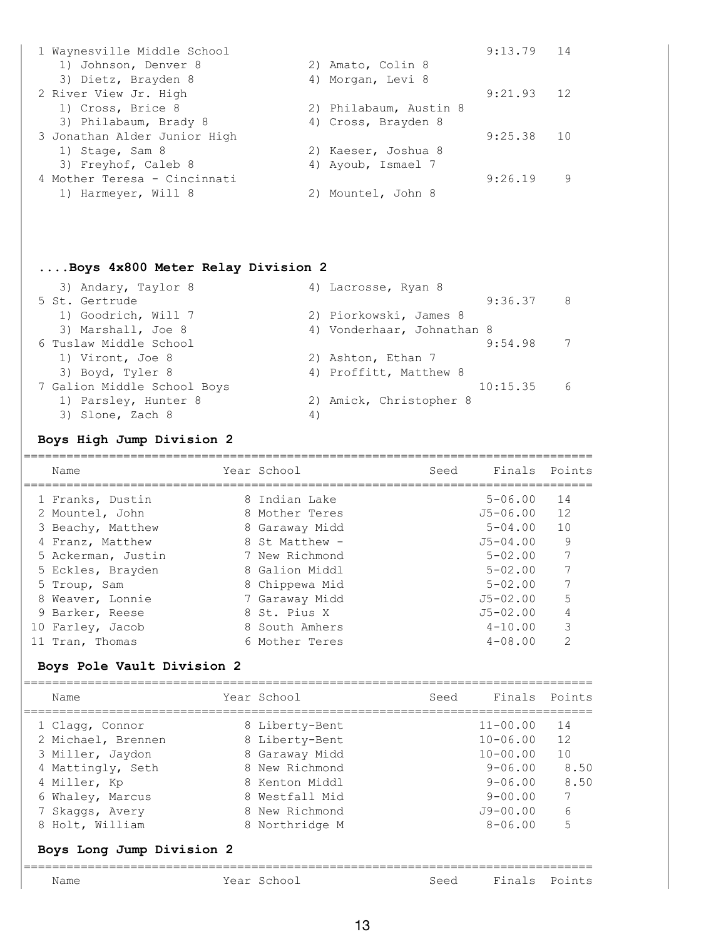| 2) Amato, Colin 8      |         |                 |
|------------------------|---------|-----------------|
| 4) Morgan, Levi 8      |         |                 |
|                        | 9:21.93 | 12              |
| 2) Philabaum, Austin 8 |         |                 |
| 4) Cross, Brayden 8    |         |                 |
|                        | 9:25.38 | $\overline{10}$ |
| 2) Kaeser, Joshua 8    |         |                 |
| 4) Ayoub, Ismael 7     |         |                 |
|                        | 9:26.19 | 9               |
| 2) Mountel, John 8     |         |                 |
|                        |         | $9:13.79$ 14    |

# **....Boys 4x800 Meter Relay Division 2**

| 4) Lacrosse, Ryan 8        |     |
|----------------------------|-----|
| 9:36.37                    | - 8 |
| 2) Piorkowski, James 8     |     |
| 4) Vonderhaar, Johnathan 8 |     |
| 9:54.98                    | 7   |
| 2) Ashton, Ethan 7         |     |
| 4) Proffitt, Matthew 8     |     |
| 10:15.35                   | 6   |
| 2) Amick, Christopher 8    |     |
| 4)                         |     |
|                            |     |

# **Boys High Jump Division 2**

| Name                       |  | Year School    | Seed | Finals       | Points |  |  |
|----------------------------|--|----------------|------|--------------|--------|--|--|
| 1 Franks, Dustin           |  | 8 Indian Lake  |      | $5 - 06.00$  | 14     |  |  |
| 2 Mountel, John            |  | 8 Mother Teres |      | J5-06.00     | 12     |  |  |
| 3 Beachy, Matthew          |  | 8 Garaway Midd |      | $5 - 04.00$  | 10     |  |  |
| 4 Franz, Matthew           |  | 8 St Matthew - |      | $J5 - 04.00$ | 9      |  |  |
| 5 Ackerman, Justin         |  | 7 New Richmond |      | $5 - 02.00$  |        |  |  |
| 5 Eckles, Brayden          |  | 8 Galion Middl |      | $5 - 02.00$  |        |  |  |
| 5 Troup, Sam               |  | 8 Chippewa Mid |      | $5 - 02.00$  |        |  |  |
| 8 Weaver, Lonnie           |  | 7 Garaway Midd |      | $J5 - 02.00$ | 5      |  |  |
| 9 Barker, Reese            |  | 8 St. Pius X   |      | $J5 - 02.00$ |        |  |  |
| 10 Farley, Jacob           |  | 8 South Amhers |      | $4 - 10.00$  | 3      |  |  |
| 11 Tran, Thomas            |  | 6 Mother Teres |      | $4 - 08.00$  | 2      |  |  |
| Boys Pole Vault Division 2 |  |                |      |              |        |  |  |
| Name                       |  | Year School    | Seed | Finals       | Points |  |  |
|                            |  |                |      |              |        |  |  |

| Name                      | Year School    | Finals<br>Seed | Points |
|---------------------------|----------------|----------------|--------|
| Boys Long Jump Division 2 |                |                |        |
| 8 Holt, William           | 8 Northridge M | $8 - 06.00$    | 5      |
| 7 Skaggs, Avery           | 8 New Richmond | $J9 - 00.00$   | 6      |
| 6 Whaley, Marcus          | 8 Westfall Mid | $9 - 00.00$    | 7      |
| 4 Miller, Kp              | 8 Kenton Middl | $9 - 06.00$    | 8.50   |
| 4 Mattingly, Seth         | 8 New Richmond | $9 - 06.00$    | 8.50   |
| 3 Miller, Jaydon          | 8 Garaway Midd | $10 - 00.00$   | 10     |
| 2 Michael, Brennen        | 8 Liberty-Bent | $10 - 06.00$   | 12     |
| 1 Clagg, Connor           | 8 Liberty-Bent | $11 - 00.00$   | 14     |
|                           |                |                |        |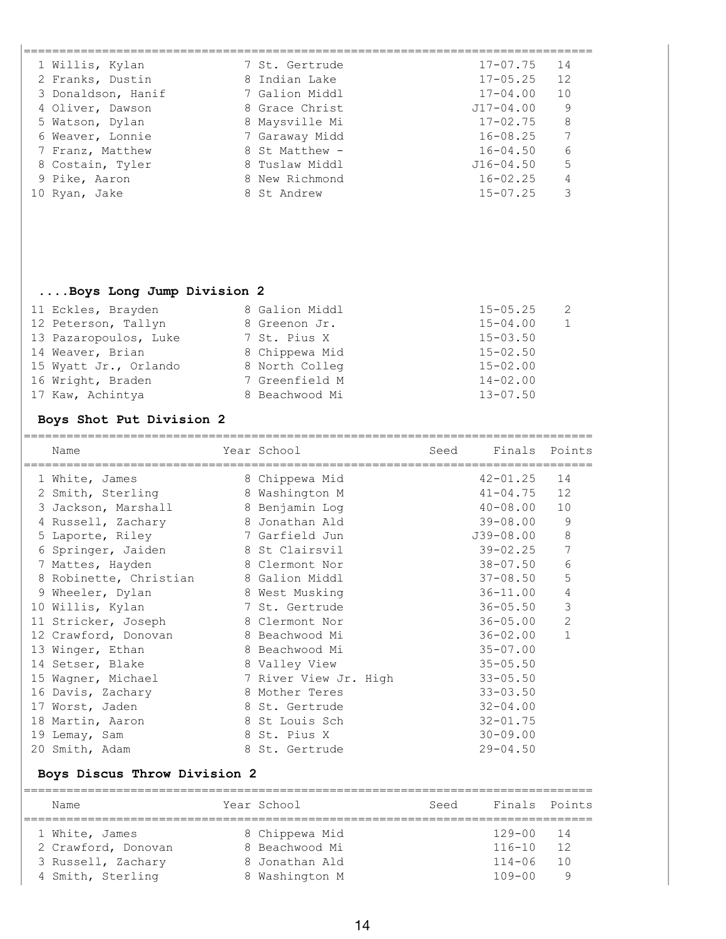| 1 Willis, Kylan    | 7 St. Gertrude | $17 - 07.75$<br>14 |  |
|--------------------|----------------|--------------------|--|
| 2 Franks, Dustin   | 8 Indian Lake  | 12<br>$17 - 05.25$ |  |
| 3 Donaldson, Hanif | 7 Galion Middl | $17 - 04.00$<br>10 |  |
| 4 Oliver, Dawson   | 8 Grace Christ | 9<br>$J17 - 04.00$ |  |
| 5 Watson, Dylan    | 8 Maysville Mi | 8<br>$17 - 02.75$  |  |
| 6 Weaver, Lonnie   | 7 Garaway Midd | 7<br>$16 - 08.25$  |  |
| 7 Franz, Matthew   | 8 St Matthew - | 6<br>$16 - 04.50$  |  |
| 8 Costain, Tyler   | 8 Tuslaw Middl | 5<br>$J16 - 04.50$ |  |
| 9 Pike, Aaron      | 8 New Richmond | 4<br>$16 - 02.25$  |  |
| 10 Ryan, Jake      | 8 St Andrew    | 3<br>$15 - 07.25$  |  |
|                    |                |                    |  |

# **....Boys Long Jump Division 2**

| 8 Galion Middl | $15 - 05.25$<br>$\overline{2}$ |
|----------------|--------------------------------|
| 8 Greenon Jr.  | $15 - 04.00$<br>$\mathbf{1}$   |
| 7 St. Pius X   | $15 - 03.50$                   |
| 8 Chippewa Mid | $15 - 02.50$                   |
| 8 North Colleg | $15 - 02.00$                   |
| 7 Greenfield M | $14 - 02.00$                   |
| 8 Beachwood Mi | $13 - 07.50$                   |
|                |                                |

# **Boys Shot Put Division 2**

| Name                   |   | Year School           | Seed | Finals        | Points         |
|------------------------|---|-----------------------|------|---------------|----------------|
| 1 White, James         |   | 8 Chippewa Mid        |      | $42 - 01.25$  | 14             |
| 2 Smith, Sterling      | 8 | Washington M          |      | $41 - 04.75$  | 12             |
| 3 Jackson, Marshall    |   | 8 Benjamin Log        |      | $40 - 08.00$  | 10             |
| 4 Russell, Zachary     |   | 8 Jonathan Ald        |      | $39 - 08.00$  | 9              |
| 5 Laporte, Riley       |   | 7 Garfield Jun        |      | $J39 - 08.00$ | 8              |
| 6 Springer, Jaiden     |   | 8 St Clairsvil        |      | $39 - 02.25$  | 7              |
| 7 Mattes, Hayden       |   | 8 Clermont Nor        |      | $38 - 07.50$  | 6              |
| 8 Robinette, Christian |   | 8 Galion Middl        |      | $37 - 08.50$  | 5              |
| 9 Wheeler, Dylan       |   | 8 West Musking        |      | $36 - 11.00$  | 4              |
| 10 Willis, Kylan       |   | 7 St. Gertrude        |      | $36 - 05.50$  | 3              |
| 11 Stricker, Joseph    |   | 8 Clermont Nor        |      | $36 - 05.00$  | $\overline{2}$ |
| 12 Crawford, Donovan   |   | 8 Beachwood Mi        |      | $36 - 02.00$  | $\mathbf{1}$   |
| 13 Winger, Ethan       |   | 8 Beachwood Mi        |      | $35 - 07.00$  |                |
| 14 Setser, Blake       |   | 8 Valley View         |      | $35 - 05.50$  |                |
| 15 Wagner, Michael     |   | 7 River View Jr. High |      | $33 - 05.50$  |                |
| 16 Davis, Zachary      |   | 8 Mother Teres        |      | $33 - 03.50$  |                |
| 17 Worst, Jaden        |   | 8 St. Gertrude        |      | $32 - 04.00$  |                |
| 18 Martin, Aaron       |   | 8 St Louis Sch        |      | $32 - 01.75$  |                |
| 19 Lemay, Sam          |   | 8 St. Pius X          |      | $30 - 09.00$  |                |
| 20 Smith, Adam         |   | 8 St. Gertrude        |      | $29 - 04.50$  |                |

## **Boys Discus Throw Division 2**

| Name                | Year School |                | Seed | Finals Points |     |
|---------------------|-------------|----------------|------|---------------|-----|
| 1 White, James      |             | 8 Chippewa Mid |      | 129-00 14     |     |
| 2 Crawford, Donovan |             | 8 Beachwood Mi |      | $116 - 10$    | 12  |
| 3 Russell, Zachary  |             | 8 Jonathan Ald |      | $114 - 06$    | 1 O |
| 4 Smith, Sterling   |             | 8 Washington M |      | $109 - 00$    | Q   |